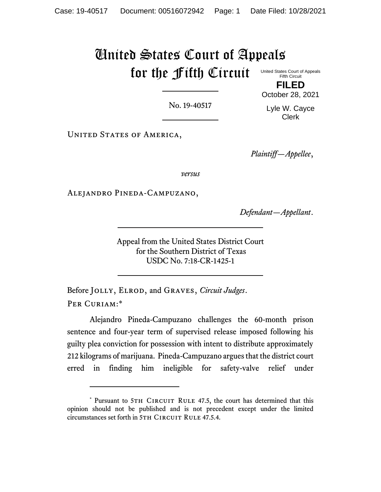## United States Court of Appeals for the Fifth Circuit United States Court of Appeals

Fifth Circuit **FILED**

No. 19-40517

Lyle W. Cayce Clerk

October 28, 2021

UNITED STATES OF AMERICA,

*Plaintiff—Appellee*,

*versus*

Alejandro Pineda-Campuzano,

*Defendant—Appellant*.

Appeal from the United States District Court for the Southern District of Texas USDC No. 7:18-CR-1425-1

Before Jolly, Elrod, and Graves, *Circuit Judges*. PER CURIAM:\*

Alejandro Pineda-Campuzano challenges the 60-month prison sentence and four-year term of supervised release imposed following his guilty plea conviction for possession with intent to distribute approximately 212 kilograms of marijuana. Pineda-Campuzano argues that the district court erred in finding him ineligible for safety-valve relief under

<sup>\*</sup> Pursuant to 5TH CIRCUIT RULE 47.5, the court has determined that this opinion should not be published and is not precedent except under the limited circumstances set forth in 5TH CIRCUIT RULE 47.5.4.